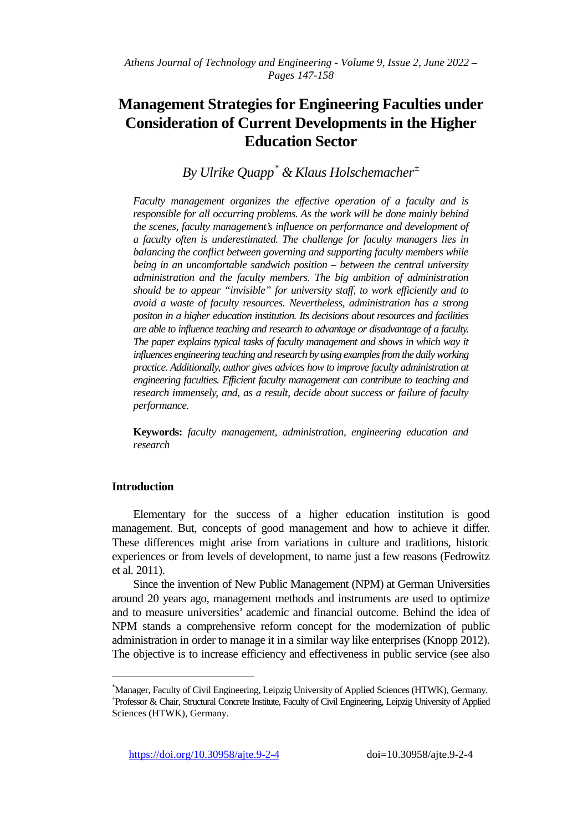# **Management Strategies for Engineering Faculties under Consideration of Current Developments in the Higher Education Sector**

*By Ulrike Quapp[\\*](#page-0-0) & Klaus Holschemacher[±](#page-0-1)*

*Faculty management organizes the effective operation of a faculty and is responsible for all occurring problems. As the work will be done mainly behind the scenes, faculty management's influence on performance and development of a faculty often is underestimated. The challenge for faculty managers lies in balancing the conflict between governing and supporting faculty members while being in an uncomfortable sandwich position – between the central university administration and the faculty members. The big ambition of administration should be to appear "invisible" for university staff, to work efficiently and to avoid a waste of faculty resources. Nevertheless, administration has a strong positon in a higher education institution. Its decisions about resources and facilities are able to influence teaching and research to advantage or disadvantage of a faculty. The paper explains typical tasks of faculty management and shows in which way it influences engineering teaching and research by using examples from the daily working practice. Additionally, author gives advices how to improve faculty administration at engineering faculties. Efficient faculty management can contribute to teaching and research immensely, and, as a result, decide about success or failure of faculty performance.*

**Keywords:** *faculty management, administration, engineering education and research* 

# **Introduction**

j

Elementary for the success of a higher education institution is good management. But, concepts of good management and how to achieve it differ. These differences might arise from variations in culture and traditions, historic experiences or from levels of development, to name just a few reasons (Fedrowitz et al. 2011).

Since the invention of New Public Management (NPM) at German Universities around 20 years ago, management methods and instruments are used to optimize and to measure universities' academic and financial outcome. Behind the idea of NPM stands a comprehensive reform concept for the modernization of public administration in order to manage it in a similar way like enterprises (Knopp 2012). The objective is to increase efficiency and effectiveness in public service (see also

<span id="page-0-1"></span><span id="page-0-0"></span><sup>\*</sup> Manager, Faculty of Civil Engineering, Leipzig University of Applied Sciences (HTWK), Germany. <sup>±</sup> Professor & Chair, Structural Concrete Institute, Faculty of Civil Engineering, Leipzig University of Applied Sciences (HTWK), Germany.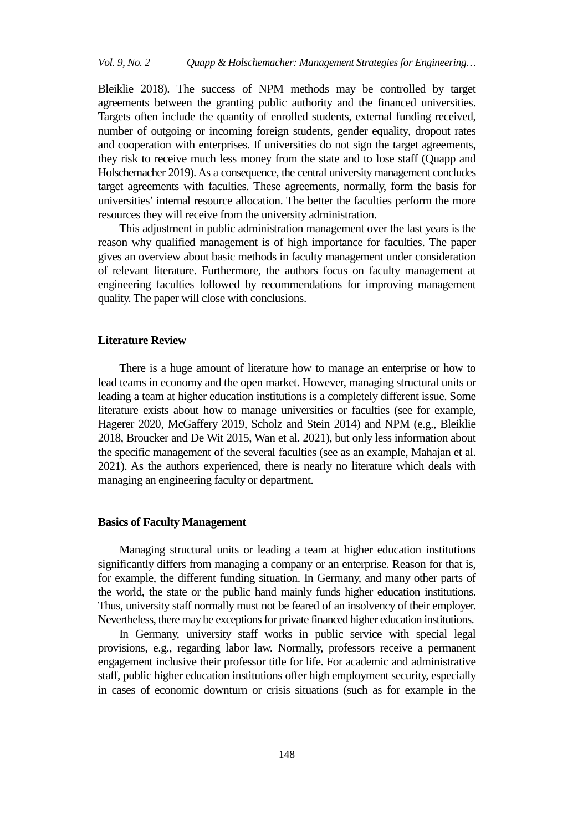Bleiklie 2018). The success of NPM methods may be controlled by target agreements between the granting public authority and the financed universities. Targets often include the quantity of enrolled students, external funding received, number of outgoing or incoming foreign students, gender equality, dropout rates and cooperation with enterprises. If universities do not sign the target agreements, they risk to receive much less money from the state and to lose staff (Quapp and Holschemacher 2019). As a consequence, the central university management concludes target agreements with faculties. These agreements, normally, form the basis for universities' internal resource allocation. The better the faculties perform the more resources they will receive from the university administration.

This adjustment in public administration management over the last years is the reason why qualified management is of high importance for faculties. The paper gives an overview about basic methods in faculty management under consideration of relevant literature. Furthermore, the authors focus on faculty management at engineering faculties followed by recommendations for improving management quality. The paper will close with conclusions.

# **Literature Review**

There is a huge amount of literature how to manage an enterprise or how to lead teams in economy and the open market. However, managing structural units or leading a team at higher education institutions is a completely different issue. Some literature exists about how to manage universities or faculties (see for example, Hagerer 2020, McGaffery 2019, Scholz and Stein 2014) and NPM (e.g., Bleiklie 2018, Broucker and De Wit 2015, Wan et al. 2021), but only less information about the specific management of the several faculties (see as an example, Mahajan et al. 2021). As the authors experienced, there is nearly no literature which deals with managing an engineering faculty or department.

#### **Basics of Faculty Management**

Managing structural units or leading a team at higher education institutions significantly differs from managing a company or an enterprise. Reason for that is, for example, the different funding situation. In Germany, and many other parts of the world, the state or the public hand mainly funds higher education institutions. Thus, university staff normally must not be feared of an insolvency of their employer. Nevertheless, there may be exceptions for private financed higher education institutions.

In Germany, university staff works in public service with special legal provisions, e.g., regarding labor law. Normally, professors receive a permanent engagement inclusive their professor title for life. For academic and administrative staff, public higher education institutions offer high employment security, especially in cases of economic downturn or crisis situations (such as for example in the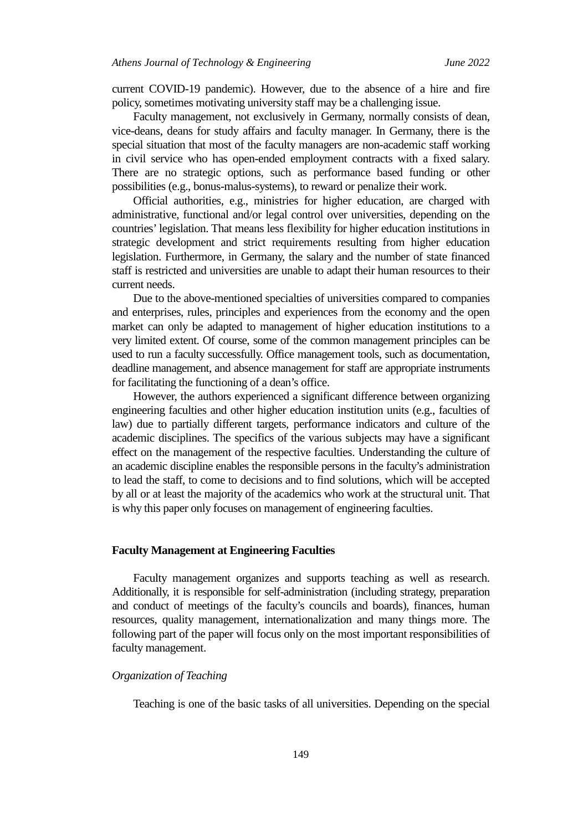current COVID-19 pandemic). However, due to the absence of a hire and fire policy, sometimes motivating university staff may be a challenging issue.

Faculty management, not exclusively in Germany, normally consists of dean, vice-deans, deans for study affairs and faculty manager. In Germany, there is the special situation that most of the faculty managers are non-academic staff working in civil service who has open-ended employment contracts with a fixed salary. There are no strategic options, such as performance based funding or other possibilities (e.g., bonus-malus-systems), to reward or penalize their work.

Official authorities, e.g., ministries for higher education, are charged with administrative, functional and/or legal control over universities, depending on the countries' legislation. That means less flexibility for higher education institutions in strategic development and strict requirements resulting from higher education legislation. Furthermore, in Germany, the salary and the number of state financed staff is restricted and universities are unable to adapt their human resources to their current needs.

Due to the above-mentioned specialties of universities compared to companies and enterprises, rules, principles and experiences from the economy and the open market can only be adapted to management of higher education institutions to a very limited extent. Of course, some of the common management principles can be used to run a faculty successfully. Office management tools, such as documentation, deadline management, and absence management for staff are appropriate instruments for facilitating the functioning of a dean's office.

However, the authors experienced a significant difference between organizing engineering faculties and other higher education institution units (e.g., faculties of law) due to partially different targets, performance indicators and culture of the academic disciplines. The specifics of the various subjects may have a significant effect on the management of the respective faculties. Understanding the culture of an academic discipline enables the responsible persons in the faculty's administration to lead the staff, to come to decisions and to find solutions, which will be accepted by all or at least the majority of the academics who work at the structural unit. That is why this paper only focuses on management of engineering faculties.

# **Faculty Management at Engineering Faculties**

Faculty management organizes and supports teaching as well as research. Additionally, it is responsible for self-administration (including strategy, preparation and conduct of meetings of the faculty's councils and boards), finances, human resources, quality management, internationalization and many things more. The following part of the paper will focus only on the most important responsibilities of faculty management.

# *Organization of Teaching*

Teaching is one of the basic tasks of all universities. Depending on the special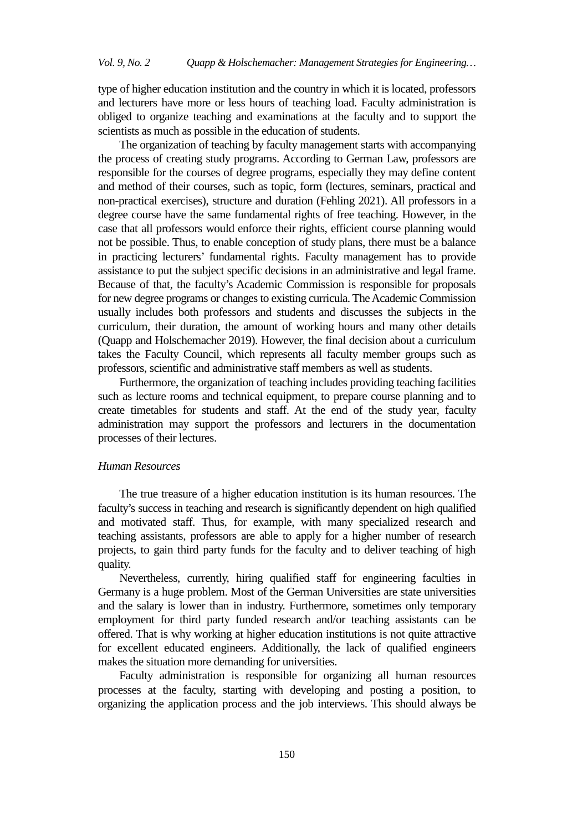type of higher education institution and the country in which it is located, professors and lecturers have more or less hours of teaching load. Faculty administration is obliged to organize teaching and examinations at the faculty and to support the scientists as much as possible in the education of students.

The organization of teaching by faculty management starts with accompanying the process of creating study programs. According to German Law, professors are responsible for the courses of degree programs, especially they may define content and method of their courses, such as topic, form (lectures, seminars, practical and non-practical exercises), structure and duration (Fehling 2021). All professors in a degree course have the same fundamental rights of free teaching. However, in the case that all professors would enforce their rights, efficient course planning would not be possible. Thus, to enable conception of study plans, there must be a balance in practicing lecturers' fundamental rights. Faculty management has to provide assistance to put the subject specific decisions in an administrative and legal frame. Because of that, the faculty's Academic Commission is responsible for proposals for new degree programs or changes to existing curricula. The Academic Commission usually includes both professors and students and discusses the subjects in the curriculum, their duration, the amount of working hours and many other details (Quapp and Holschemacher 2019). However, the final decision about a curriculum takes the Faculty Council, which represents all faculty member groups such as professors, scientific and administrative staff members as well as students.

Furthermore, the organization of teaching includes providing teaching facilities such as lecture rooms and technical equipment, to prepare course planning and to create timetables for students and staff. At the end of the study year, faculty administration may support the professors and lecturers in the documentation processes of their lectures.

# *Human Resources*

The true treasure of a higher education institution is its human resources. The faculty's success in teaching and research is significantly dependent on high qualified and motivated staff. Thus, for example, with many specialized research and teaching assistants, professors are able to apply for a higher number of research projects, to gain third party funds for the faculty and to deliver teaching of high quality.

Nevertheless, currently, hiring qualified staff for engineering faculties in Germany is a huge problem. Most of the German Universities are state universities and the salary is lower than in industry. Furthermore, sometimes only temporary employment for third party funded research and/or teaching assistants can be offered. That is why working at higher education institutions is not quite attractive for excellent educated engineers. Additionally, the lack of qualified engineers makes the situation more demanding for universities.

Faculty administration is responsible for organizing all human resources processes at the faculty, starting with developing and posting a position, to organizing the application process and the job interviews. This should always be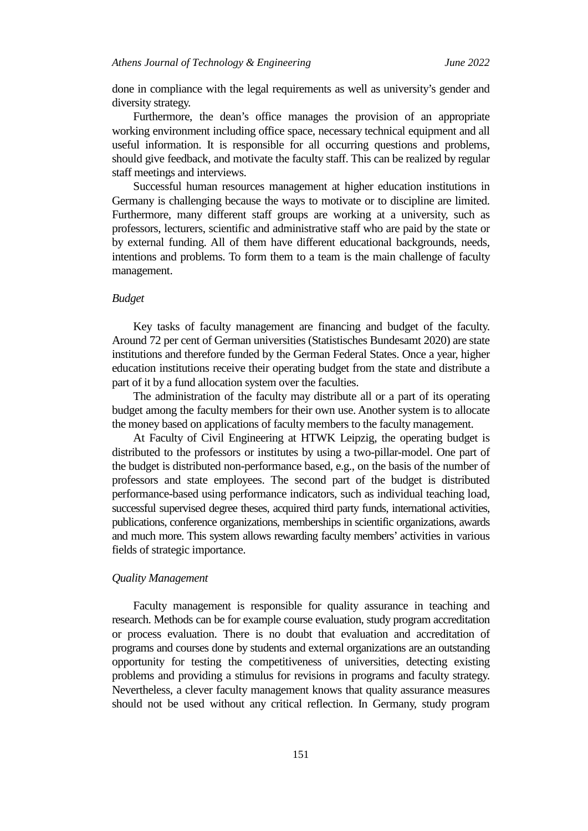done in compliance with the legal requirements as well as university's gender and diversity strategy.

Furthermore, the dean's office manages the provision of an appropriate working environment including office space, necessary technical equipment and all useful information. It is responsible for all occurring questions and problems, should give feedback, and motivate the faculty staff. This can be realized by regular staff meetings and interviews.

Successful human resources management at higher education institutions in Germany is challenging because the ways to motivate or to discipline are limited. Furthermore, many different staff groups are working at a university, such as professors, lecturers, scientific and administrative staff who are paid by the state or by external funding. All of them have different educational backgrounds, needs, intentions and problems. To form them to a team is the main challenge of faculty management.

# *Budget*

Key tasks of faculty management are financing and budget of the faculty. Around 72 per cent of German universities (Statistisches Bundesamt 2020) are state institutions and therefore funded by the German Federal States. Once a year, higher education institutions receive their operating budget from the state and distribute a part of it by a fund allocation system over the faculties.

The administration of the faculty may distribute all or a part of its operating budget among the faculty members for their own use. Another system is to allocate the money based on applications of faculty members to the faculty management.

At Faculty of Civil Engineering at HTWK Leipzig, the operating budget is distributed to the professors or institutes by using a two-pillar-model. One part of the budget is distributed non-performance based, e.g., on the basis of the number of professors and state employees. The second part of the budget is distributed performance-based using performance indicators, such as individual teaching load, successful supervised degree theses, acquired third party funds, international activities, publications, conference organizations, memberships in scientific organizations, awards and much more. This system allows rewarding faculty members' activities in various fields of strategic importance.

# *Quality Management*

Faculty management is responsible for quality assurance in teaching and research. Methods can be for example course evaluation, study program accreditation or process evaluation. There is no doubt that evaluation and accreditation of programs and courses done by students and external organizations are an outstanding opportunity for testing the competitiveness of universities, detecting existing problems and providing a stimulus for revisions in programs and faculty strategy. Nevertheless, a clever faculty management knows that quality assurance measures should not be used without any critical reflection. In Germany, study program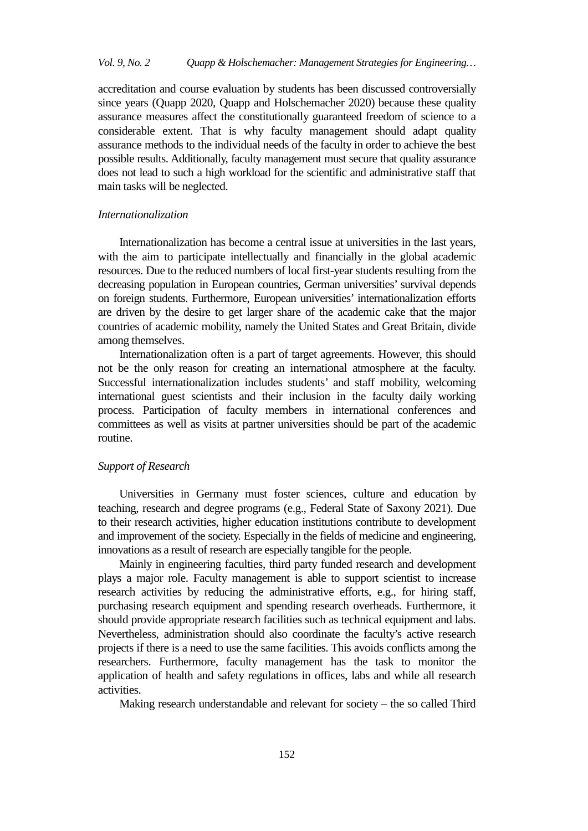# *Vol. 9, No. 2 Quapp & Holschemacher: Management Strategies for Engineering…*

accreditation and course evaluation by students has been discussed controversially since years (Quapp 2020, Quapp and Holschemacher 2020) because these quality assurance measures affect the constitutionally guaranteed freedom of science to a considerable extent. That is why faculty management should adapt quality assurance methods to the individual needs of the faculty in order to achieve the best possible results. Additionally, faculty management must secure that quality assurance does not lead to such a high workload for the scientific and administrative staff that main tasks will be neglected.

# *Internationalization*

Internationalization has become a central issue at universities in the last years, with the aim to participate intellectually and financially in the global academic resources. Due to the reduced numbers of local first-year students resulting from the decreasing population in European countries, German universities' survival depends on foreign students. Furthermore, European universities' internationalization efforts are driven by the desire to get larger share of the academic cake that the major countries of academic mobility, namely the United States and Great Britain, divide among themselves.

Internationalization often is a part of target agreements. However, this should not be the only reason for creating an international atmosphere at the faculty. Successful internationalization includes students' and staff mobility, welcoming international guest scientists and their inclusion in the faculty daily working process. Participation of faculty members in international conferences and committees as well as visits at partner universities should be part of the academic routine.

# *Support of Research*

Universities in Germany must foster sciences, culture and education by teaching, research and degree programs (e.g., Federal State of Saxony 2021). Due to their research activities, higher education institutions contribute to development and improvement of the society. Especially in the fields of medicine and engineering, innovations as a result of research are especially tangible for the people.

Mainly in engineering faculties, third party funded research and development plays a major role. Faculty management is able to support scientist to increase research activities by reducing the administrative efforts, e.g., for hiring staff, purchasing research equipment and spending research overheads. Furthermore, it should provide appropriate research facilities such as technical equipment and labs. Nevertheless, administration should also coordinate the faculty's active research projects if there is a need to use the same facilities. This avoids conflicts among the researchers. Furthermore, faculty management has the task to monitor the application of health and safety regulations in offices, labs and while all research activities.

Making research understandable and relevant for society – the so called Third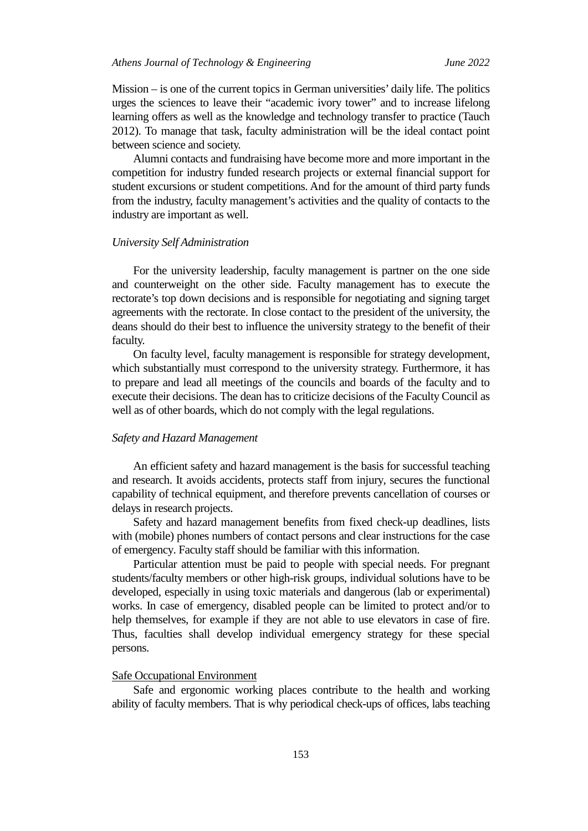Mission – is one of the current topics in German universities' daily life. The politics urges the sciences to leave their "academic ivory tower" and to increase lifelong learning offers as well as the knowledge and technology transfer to practice (Tauch 2012). To manage that task, faculty administration will be the ideal contact point between science and society.

Alumni contacts and fundraising have become more and more important in the competition for industry funded research projects or external financial support for student excursions or student competitions. And for the amount of third party funds from the industry, faculty management's activities and the quality of contacts to the industry are important as well.

#### *University Self Administration*

For the university leadership, faculty management is partner on the one side and counterweight on the other side. Faculty management has to execute the rectorate's top down decisions and is responsible for negotiating and signing target agreements with the rectorate. In close contact to the president of the university, the deans should do their best to influence the university strategy to the benefit of their faculty.

On faculty level, faculty management is responsible for strategy development, which substantially must correspond to the university strategy. Furthermore, it has to prepare and lead all meetings of the councils and boards of the faculty and to execute their decisions. The dean has to criticize decisions of the Faculty Council as well as of other boards, which do not comply with the legal regulations.

# *Safety and Hazard Management*

An efficient safety and hazard management is the basis for successful teaching and research. It avoids accidents, protects staff from injury, secures the functional capability of technical equipment, and therefore prevents cancellation of courses or delays in research projects.

Safety and hazard management benefits from fixed check-up deadlines, lists with (mobile) phones numbers of contact persons and clear instructions for the case of emergency. Faculty staff should be familiar with this information.

Particular attention must be paid to people with special needs. For pregnant students/faculty members or other high-risk groups, individual solutions have to be developed, especially in using toxic materials and dangerous (lab or experimental) works. In case of emergency, disabled people can be limited to protect and/or to help themselves, for example if they are not able to use elevators in case of fire. Thus, faculties shall develop individual emergency strategy for these special persons.

## Safe Occupational Environment

Safe and ergonomic working places contribute to the health and working ability of faculty members. That is why periodical check-ups of offices, labs teaching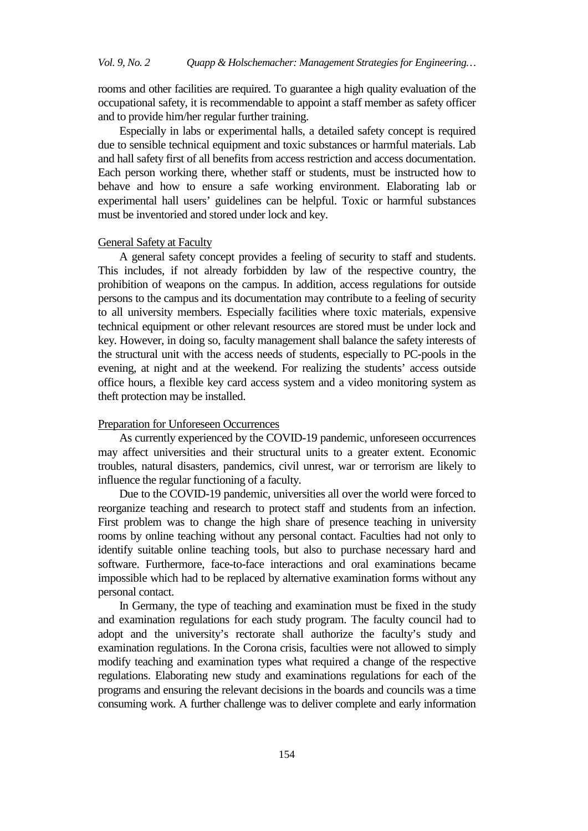rooms and other facilities are required. To guarantee a high quality evaluation of the occupational safety, it is recommendable to appoint a staff member as safety officer and to provide him/her regular further training.

Especially in labs or experimental halls, a detailed safety concept is required due to sensible technical equipment and toxic substances or harmful materials. Lab and hall safety first of all benefits from access restriction and access documentation. Each person working there, whether staff or students, must be instructed how to behave and how to ensure a safe working environment. Elaborating lab or experimental hall users' guidelines can be helpful. Toxic or harmful substances must be inventoried and stored under lock and key.

# General Safety at Faculty

A general safety concept provides a feeling of security to staff and students. This includes, if not already forbidden by law of the respective country, the prohibition of weapons on the campus. In addition, access regulations for outside persons to the campus and its documentation may contribute to a feeling of security to all university members. Especially facilities where toxic materials, expensive technical equipment or other relevant resources are stored must be under lock and key. However, in doing so, faculty management shall balance the safety interests of the structural unit with the access needs of students, especially to PC-pools in the evening, at night and at the weekend. For realizing the students' access outside office hours, a flexible key card access system and a video monitoring system as theft protection may be installed.

# Preparation for Unforeseen Occurrences

As currently experienced by the COVID-19 pandemic, unforeseen occurrences may affect universities and their structural units to a greater extent. Economic troubles, natural disasters, pandemics, civil unrest, war or terrorism are likely to influence the regular functioning of a faculty.

Due to the COVID-19 pandemic, universities all over the world were forced to reorganize teaching and research to protect staff and students from an infection. First problem was to change the high share of presence teaching in university rooms by online teaching without any personal contact. Faculties had not only to identify suitable online teaching tools, but also to purchase necessary hard and software. Furthermore, face-to-face interactions and oral examinations became impossible which had to be replaced by alternative examination forms without any personal contact.

In Germany, the type of teaching and examination must be fixed in the study and examination regulations for each study program. The faculty council had to adopt and the university's rectorate shall authorize the faculty's study and examination regulations. In the Corona crisis, faculties were not allowed to simply modify teaching and examination types what required a change of the respective regulations. Elaborating new study and examinations regulations for each of the programs and ensuring the relevant decisions in the boards and councils was a time consuming work. A further challenge was to deliver complete and early information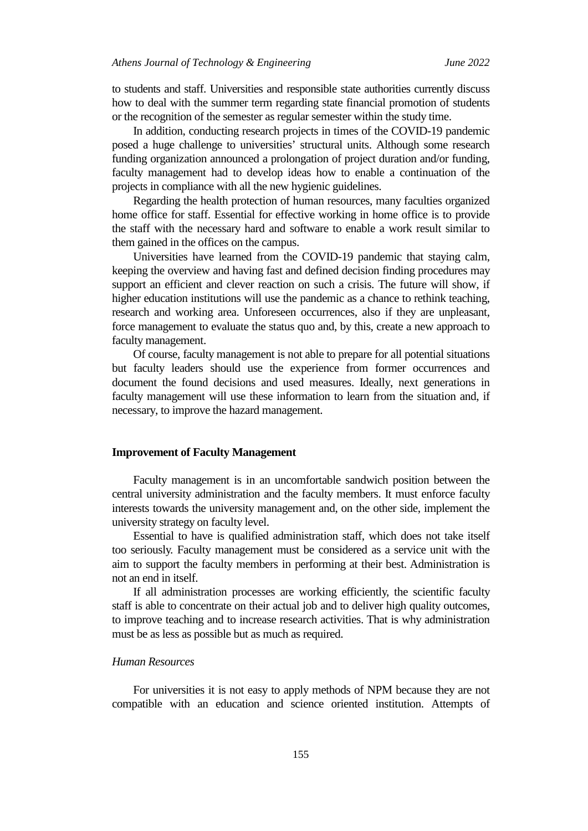to students and staff. Universities and responsible state authorities currently discuss how to deal with the summer term regarding state financial promotion of students or the recognition of the semester as regular semester within the study time.

In addition, conducting research projects in times of the COVID-19 pandemic posed a huge challenge to universities' structural units. Although some research funding organization announced a prolongation of project duration and/or funding, faculty management had to develop ideas how to enable a continuation of the projects in compliance with all the new hygienic guidelines.

Regarding the health protection of human resources, many faculties organized home office for staff. Essential for effective working in home office is to provide the staff with the necessary hard and software to enable a work result similar to them gained in the offices on the campus.

Universities have learned from the COVID-19 pandemic that staying calm, keeping the overview and having fast and defined decision finding procedures may support an efficient and clever reaction on such a crisis. The future will show, if higher education institutions will use the pandemic as a chance to rethink teaching, research and working area. Unforeseen occurrences, also if they are unpleasant, force management to evaluate the status quo and, by this, create a new approach to faculty management.

Of course, faculty management is not able to prepare for all potential situations but faculty leaders should use the experience from former occurrences and document the found decisions and used measures. Ideally, next generations in faculty management will use these information to learn from the situation and, if necessary, to improve the hazard management.

## **Improvement of Faculty Management**

Faculty management is in an uncomfortable sandwich position between the central university administration and the faculty members. It must enforce faculty interests towards the university management and, on the other side, implement the university strategy on faculty level.

Essential to have is qualified administration staff, which does not take itself too seriously. Faculty management must be considered as a service unit with the aim to support the faculty members in performing at their best. Administration is not an end in itself.

If all administration processes are working efficiently, the scientific faculty staff is able to concentrate on their actual job and to deliver high quality outcomes, to improve teaching and to increase research activities. That is why administration must be as less as possible but as much as required.

# *Human Resources*

For universities it is not easy to apply methods of NPM because they are not compatible with an education and science oriented institution. Attempts of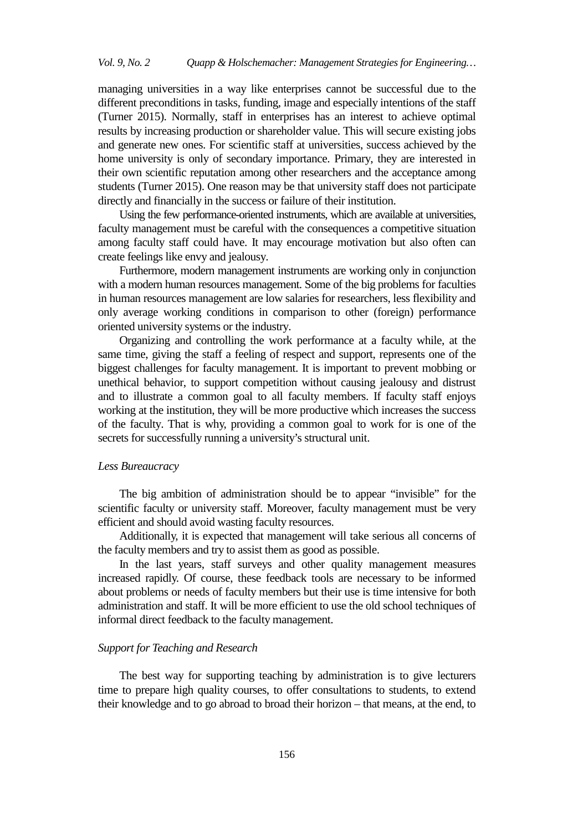managing universities in a way like enterprises cannot be successful due to the different preconditions in tasks, funding, image and especially intentions of the staff (Turner 2015). Normally, staff in enterprises has an interest to achieve optimal results by increasing production or shareholder value. This will secure existing jobs and generate new ones. For scientific staff at universities, success achieved by the home university is only of secondary importance. Primary, they are interested in their own scientific reputation among other researchers and the acceptance among students (Turner 2015). One reason may be that university staff does not participate directly and financially in the success or failure of their institution.

Using the few performance-oriented instruments, which are available at universities, faculty management must be careful with the consequences a competitive situation among faculty staff could have. It may encourage motivation but also often can create feelings like envy and jealousy.

Furthermore, modern management instruments are working only in conjunction with a modern human resources management. Some of the big problems for faculties in human resources management are low salaries for researchers, less flexibility and only average working conditions in comparison to other (foreign) performance oriented university systems or the industry.

Organizing and controlling the work performance at a faculty while, at the same time, giving the staff a feeling of respect and support, represents one of the biggest challenges for faculty management. It is important to prevent mobbing or unethical behavior, to support competition without causing jealousy and distrust and to illustrate a common goal to all faculty members. If faculty staff enjoys working at the institution, they will be more productive which increases the success of the faculty. That is why, providing a common goal to work for is one of the secrets for successfully running a university's structural unit.

## *Less Bureaucracy*

The big ambition of administration should be to appear "invisible" for the scientific faculty or university staff. Moreover, faculty management must be very efficient and should avoid wasting faculty resources.

Additionally, it is expected that management will take serious all concerns of the faculty members and try to assist them as good as possible.

In the last years, staff surveys and other quality management measures increased rapidly. Of course, these feedback tools are necessary to be informed about problems or needs of faculty members but their use is time intensive for both administration and staff. It will be more efficient to use the old school techniques of informal direct feedback to the faculty management.

#### *Support for Teaching and Research*

The best way for supporting teaching by administration is to give lecturers time to prepare high quality courses, to offer consultations to students, to extend their knowledge and to go abroad to broad their horizon – that means, at the end, to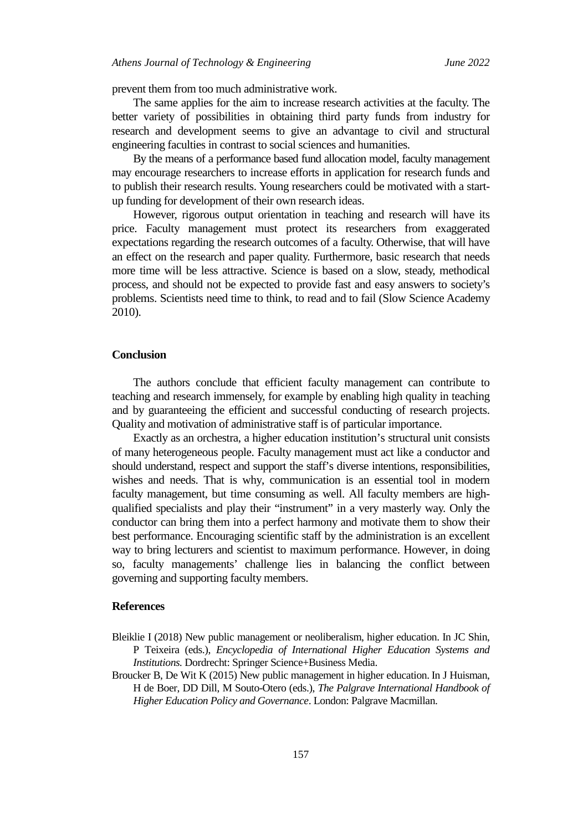prevent them from too much administrative work.

The same applies for the aim to increase research activities at the faculty. The better variety of possibilities in obtaining third party funds from industry for research and development seems to give an advantage to civil and structural engineering faculties in contrast to social sciences and humanities.

By the means of a performance based fund allocation model, faculty management may encourage researchers to increase efforts in application for research funds and to publish their research results. Young researchers could be motivated with a startup funding for development of their own research ideas.

However, rigorous output orientation in teaching and research will have its price. Faculty management must protect its researchers from exaggerated expectations regarding the research outcomes of a faculty. Otherwise, that will have an effect on the research and paper quality. Furthermore, basic research that needs more time will be less attractive. Science is based on a slow, steady, methodical process, and should not be expected to provide fast and easy answers to society's problems. Scientists need time to think, to read and to fail (Slow Science Academy 2010).

#### **Conclusion**

The authors conclude that efficient faculty management can contribute to teaching and research immensely, for example by enabling high quality in teaching and by guaranteeing the efficient and successful conducting of research projects. Quality and motivation of administrative staff is of particular importance.

Exactly as an orchestra, a higher education institution's structural unit consists of many heterogeneous people. Faculty management must act like a conductor and should understand, respect and support the staff's diverse intentions, responsibilities, wishes and needs. That is why, communication is an essential tool in modern faculty management, but time consuming as well. All faculty members are highqualified specialists and play their "instrument" in a very masterly way. Only the conductor can bring them into a perfect harmony and motivate them to show their best performance. Encouraging scientific staff by the administration is an excellent way to bring lecturers and scientist to maximum performance. However, in doing so, faculty managements' challenge lies in balancing the conflict between governing and supporting faculty members.

# **References**

- Bleiklie I (2018) New public management or neoliberalism, higher education. In JC Shin, P Teixeira (eds.), *Encyclopedia of International Higher Education Systems and Institutions.* Dordrecht: Springer Science+Business Media.
- Broucker B, De Wit K (2015) New public management in higher education. In J Huisman, H de Boer, DD Dill, M Souto-Otero (eds.), *The Palgrave International Handbook of Higher Education Policy and Governance*. London: Palgrave Macmillan.